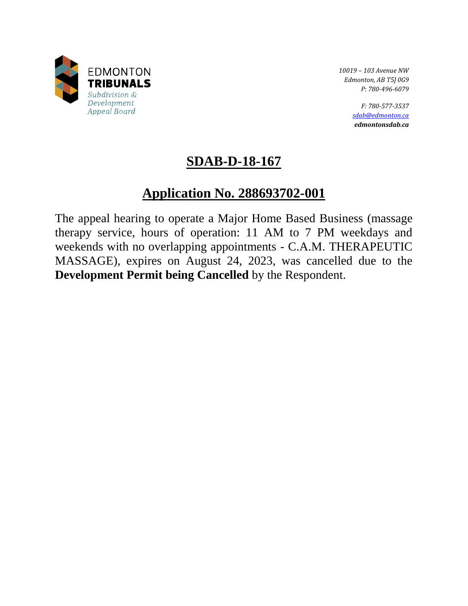

*10019 – 103 Avenue NW Edmonton, AB T5J 0G9 P: 780-496-6079* 

> *F: 780-577-3537 [sdab@edmonton.ca](mailto:sdab@edmonton.ca) edmontonsdab.ca*

# **SDAB-D-18-167**

# **Application No. 288693702-001**

The appeal hearing to operate a Major Home Based Business (massage therapy service, hours of operation: 11 AM to 7 PM weekdays and weekends with no overlapping appointments - C.A.M. THERAPEUTIC MASSAGE), expires on August 24, 2023, was cancelled due to the **Development Permit being Cancelled** by the Respondent.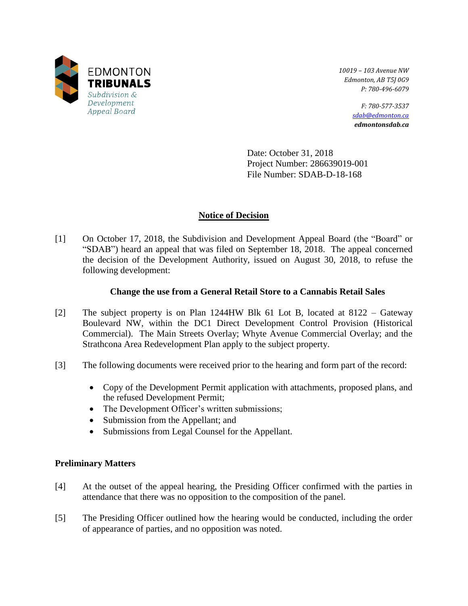

*10019 – 103 Avenue NW Edmonton, AB T5J 0G9 P: 780-496-6079* 

> *F: 780-577-3537 [sdab@edmonton.ca](mailto:sdab@edmonton.ca) edmontonsdab.ca*

Date: October 31, 2018 Project Number: 286639019-001 File Number: SDAB-D-18-168

## **Notice of Decision**

[1] On October 17, 2018, the Subdivision and Development Appeal Board (the "Board" or "SDAB") heard an appeal that was filed on September 18, 2018. The appeal concerned the decision of the Development Authority, issued on August 30, 2018, to refuse the following development:

## **Change the use from a General Retail Store to a Cannabis Retail Sales**

- [2] The subject property is on Plan 1244HW Blk 61 Lot B, located at 8122 Gateway Boulevard NW, within the DC1 Direct Development Control Provision (Historical Commercial). The Main Streets Overlay; Whyte Avenue Commercial Overlay; and the Strathcona Area Redevelopment Plan apply to the subject property.
- [3] The following documents were received prior to the hearing and form part of the record:
	- Copy of the Development Permit application with attachments, proposed plans, and the refused Development Permit;
	- The Development Officer's written submissions;
	- Submission from the Appellant; and
	- Submissions from Legal Counsel for the Appellant.

## **Preliminary Matters**

- [4] At the outset of the appeal hearing, the Presiding Officer confirmed with the parties in attendance that there was no opposition to the composition of the panel.
- [5] The Presiding Officer outlined how the hearing would be conducted, including the order of appearance of parties, and no opposition was noted.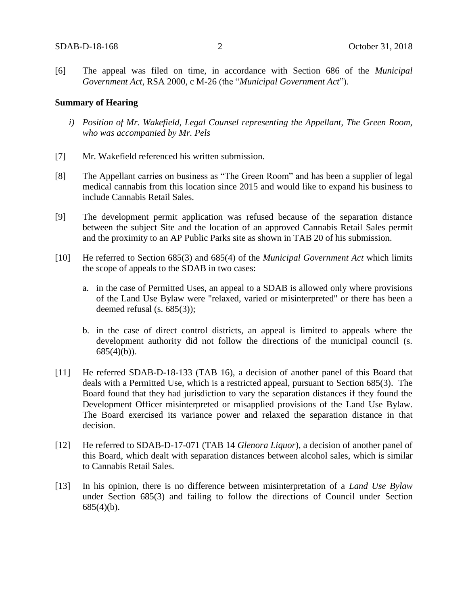[6] The appeal was filed on time, in accordance with Section 686 of the *Municipal Government Act*, RSA 2000, c M-26 (the "*Municipal Government Act*").

### **Summary of Hearing**

- *i) Position of Mr. Wakefield, Legal Counsel representing the Appellant, The Green Room, who was accompanied by Mr. Pels*
- [7] Mr. Wakefield referenced his written submission.
- [8] The Appellant carries on business as "The Green Room" and has been a supplier of legal medical cannabis from this location since 2015 and would like to expand his business to include Cannabis Retail Sales.
- [9] The development permit application was refused because of the separation distance between the subject Site and the location of an approved Cannabis Retail Sales permit and the proximity to an AP Public Parks site as shown in TAB 20 of his submission.
- [10] He referred to Section 685(3) and 685(4) of the *Municipal Government Act* which limits the scope of appeals to the SDAB in two cases:
	- a. in the case of Permitted Uses, an appeal to a SDAB is allowed only where provisions of the Land Use Bylaw were "relaxed, varied or misinterpreted" or there has been a deemed refusal (s. 685(3));
	- b. in the case of direct control districts, an appeal is limited to appeals where the development authority did not follow the directions of the municipal council (s.  $685(4)(b)$ ).
- [11] He referred SDAB-D-18-133 (TAB 16), a decision of another panel of this Board that deals with a Permitted Use, which is a restricted appeal, pursuant to Section 685(3). The Board found that they had jurisdiction to vary the separation distances if they found the Development Officer misinterpreted or misapplied provisions of the Land Use Bylaw. The Board exercised its variance power and relaxed the separation distance in that decision.
- [12] He referred to SDAB-D-17-071 (TAB 14 *Glenora Liquor*), a decision of another panel of this Board, which dealt with separation distances between alcohol sales, which is similar to Cannabis Retail Sales.
- [13] In his opinion, there is no difference between misinterpretation of a *Land Use Bylaw* under Section 685(3) and failing to follow the directions of Council under Section  $685(4)(b)$ .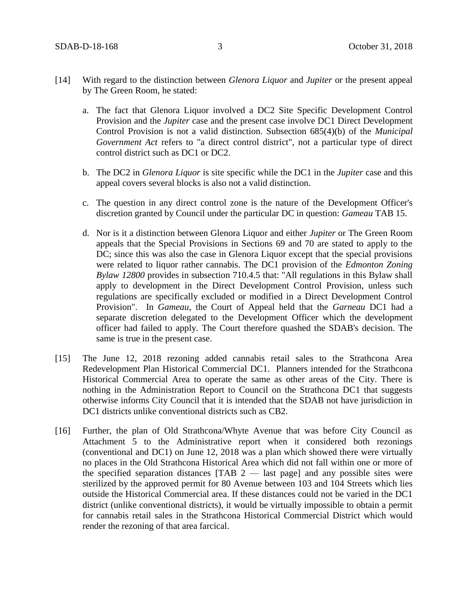- [14] With regard to the distinction between *Glenora Liquor* and *Jupiter* or the present appeal by The Green Room, he stated:
	- a. The fact that Glenora Liquor involved a DC2 Site Specific Development Control Provision and the *Jupiter* case and the present case involve DC1 Direct Development Control Provision is not a valid distinction. Subsection 685(4)(b) of the *Municipal Government Act* refers to "a direct control district", not a particular type of direct control district such as DC1 or DC2.
	- b. The DC2 in *Glenora Liquor* is site specific while the DC1 in the *Jupiter* case and this appeal covers several blocks is also not a valid distinction.
	- c. The question in any direct control zone is the nature of the Development Officer's discretion granted by Council under the particular DC in question: *Gameau* TAB 15.
	- d. Nor is it a distinction between Glenora Liquor and either *Jupiter* or The Green Room appeals that the Special Provisions in Sections 69 and 70 are stated to apply to the DC; since this was also the case in Glenora Liquor except that the special provisions were related to liquor rather cannabis. The DC1 provision of the *Edmonton Zoning Bylaw 12800* provides in subsection 710.4.5 that: "All regulations in this Bylaw shall apply to development in the Direct Development Control Provision, unless such regulations are specifically excluded or modified in a Direct Development Control Provision". In *Gameau*, the Court of Appeal held that the *Garneau* DC1 had a separate discretion delegated to the Development Officer which the development officer had failed to apply. The Court therefore quashed the SDAB's decision. The same is true in the present case.
- [15] The June 12, 2018 rezoning added cannabis retail sales to the Strathcona Area Redevelopment Plan Historical Commercial DC1. Planners intended for the Strathcona Historical Commercial Area to operate the same as other areas of the City. There is nothing in the Administration Report to Council on the Strathcona DC1 that suggests otherwise informs City Council that it is intended that the SDAB not have jurisdiction in DC1 districts unlike conventional districts such as CB2.
- [16] Further, the plan of Old Strathcona/Whyte Avenue that was before City Council as Attachment 5 to the Administrative report when it considered both rezonings (conventional and DC1) on June 12, 2018 was a plan which showed there were virtually no places in the Old Strathcona Historical Area which did not fall within one or more of the specified separation distances  $[TAB 2$  — last page] and any possible sites were sterilized by the approved permit for 80 Avenue between 103 and 104 Streets which lies outside the Historical Commercial area. If these distances could not be varied in the DC1 district (unlike conventional districts), it would be virtually impossible to obtain a permit for cannabis retail sales in the Strathcona Historical Commercial District which would render the rezoning of that area farcical.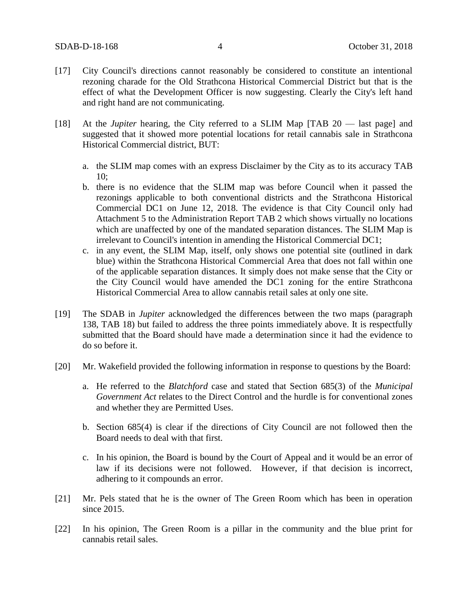- [17] City Council's directions cannot reasonably be considered to constitute an intentional rezoning charade for the Old Strathcona Historical Commercial District but that is the effect of what the Development Officer is now suggesting. Clearly the City's left hand and right hand are not communicating.
- [18] At the *Jupiter* hearing, the City referred to a SLIM Map [TAB 20 last page] and suggested that it showed more potential locations for retail cannabis sale in Strathcona Historical Commercial district, BUT:
	- a. the SLIM map comes with an express Disclaimer by the City as to its accuracy TAB 10;
	- b. there is no evidence that the SLIM map was before Council when it passed the rezonings applicable to both conventional districts and the Strathcona Historical Commercial DC1 on June 12, 2018. The evidence is that City Council only had Attachment 5 to the Administration Report TAB 2 which shows virtually no locations which are unaffected by one of the mandated separation distances. The SLIM Map is irrelevant to Council's intention in amending the Historical Commercial DC1;
	- c. in any event, the SLIM Map, itself, only shows one potential site (outlined in dark blue) within the Strathcona Historical Commercial Area that does not fall within one of the applicable separation distances. It simply does not make sense that the City or the City Council would have amended the DC1 zoning for the entire Strathcona Historical Commercial Area to allow cannabis retail sales at only one site.
- [19] The SDAB in *Jupiter* acknowledged the differences between the two maps (paragraph 138, TAB 18) but failed to address the three points immediately above. It is respectfully submitted that the Board should have made a determination since it had the evidence to do so before it.
- [20] Mr. Wakefield provided the following information in response to questions by the Board:
	- a. He referred to the *Blatchford* case and stated that Section 685(3) of the *Municipal Government Act* relates to the Direct Control and the hurdle is for conventional zones and whether they are Permitted Uses.
	- b. Section 685(4) is clear if the directions of City Council are not followed then the Board needs to deal with that first.
	- c. In his opinion, the Board is bound by the Court of Appeal and it would be an error of law if its decisions were not followed. However, if that decision is incorrect, adhering to it compounds an error.
- [21] Mr. Pels stated that he is the owner of The Green Room which has been in operation since 2015.
- [22] In his opinion, The Green Room is a pillar in the community and the blue print for cannabis retail sales.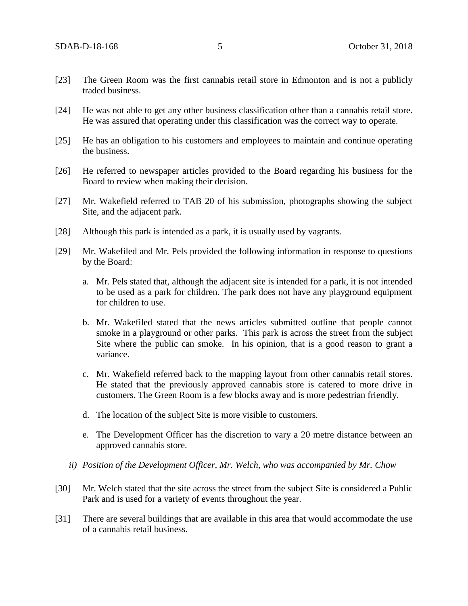- [23] The Green Room was the first cannabis retail store in Edmonton and is not a publicly traded business.
- [24] He was not able to get any other business classification other than a cannabis retail store. He was assured that operating under this classification was the correct way to operate.
- [25] He has an obligation to his customers and employees to maintain and continue operating the business.
- [26] He referred to newspaper articles provided to the Board regarding his business for the Board to review when making their decision.
- [27] Mr. Wakefield referred to TAB 20 of his submission, photographs showing the subject Site, and the adjacent park.
- [28] Although this park is intended as a park, it is usually used by vagrants.
- [29] Mr. Wakefiled and Mr. Pels provided the following information in response to questions by the Board:
	- a. Mr. Pels stated that, although the adjacent site is intended for a park, it is not intended to be used as a park for children. The park does not have any playground equipment for children to use.
	- b. Mr. Wakefiled stated that the news articles submitted outline that people cannot smoke in a playground or other parks. This park is across the street from the subject Site where the public can smoke. In his opinion, that is a good reason to grant a variance.
	- c. Mr. Wakefield referred back to the mapping layout from other cannabis retail stores. He stated that the previously approved cannabis store is catered to more drive in customers. The Green Room is a few blocks away and is more pedestrian friendly.
	- d. The location of the subject Site is more visible to customers.
	- e. The Development Officer has the discretion to vary a 20 metre distance between an approved cannabis store.
	- *ii) Position of the Development Officer, Mr. Welch, who was accompanied by Mr. Chow*
- [30] Mr. Welch stated that the site across the street from the subject Site is considered a Public Park and is used for a variety of events throughout the year.
- [31] There are several buildings that are available in this area that would accommodate the use of a cannabis retail business.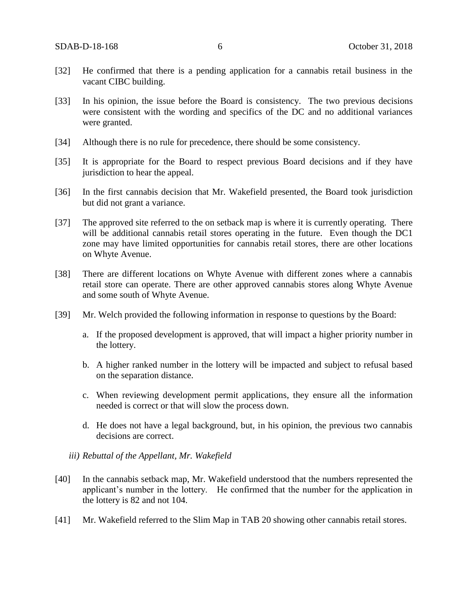- [32] He confirmed that there is a pending application for a cannabis retail business in the vacant CIBC building.
- [33] In his opinion, the issue before the Board is consistency. The two previous decisions were consistent with the wording and specifics of the DC and no additional variances were granted.
- [34] Although there is no rule for precedence, there should be some consistency.
- [35] It is appropriate for the Board to respect previous Board decisions and if they have jurisdiction to hear the appeal.
- [36] In the first cannabis decision that Mr. Wakefield presented, the Board took jurisdiction but did not grant a variance.
- [37] The approved site referred to the on setback map is where it is currently operating. There will be additional cannabis retail stores operating in the future. Even though the DC1 zone may have limited opportunities for cannabis retail stores, there are other locations on Whyte Avenue.
- [38] There are different locations on Whyte Avenue with different zones where a cannabis retail store can operate. There are other approved cannabis stores along Whyte Avenue and some south of Whyte Avenue.
- [39] Mr. Welch provided the following information in response to questions by the Board:
	- a. If the proposed development is approved, that will impact a higher priority number in the lottery.
	- b. A higher ranked number in the lottery will be impacted and subject to refusal based on the separation distance.
	- c. When reviewing development permit applications, they ensure all the information needed is correct or that will slow the process down.
	- d. He does not have a legal background, but, in his opinion, the previous two cannabis decisions are correct.
	- *iii) Rebuttal of the Appellant, Mr. Wakefield*
- [40] In the cannabis setback map, Mr. Wakefield understood that the numbers represented the applicant's number in the lottery. He confirmed that the number for the application in the lottery is 82 and not 104.
- [41] Mr. Wakefield referred to the Slim Map in TAB 20 showing other cannabis retail stores.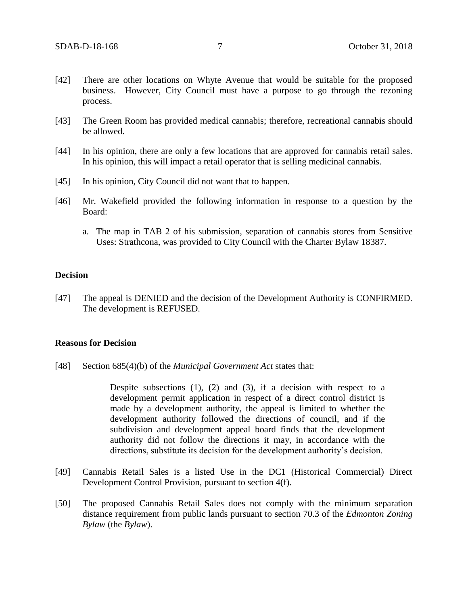- [42] There are other locations on Whyte Avenue that would be suitable for the proposed business. However, City Council must have a purpose to go through the rezoning process.
- [43] The Green Room has provided medical cannabis; therefore, recreational cannabis should be allowed.
- [44] In his opinion, there are only a few locations that are approved for cannabis retail sales. In his opinion, this will impact a retail operator that is selling medicinal cannabis.
- [45] In his opinion, City Council did not want that to happen.
- [46] Mr. Wakefield provided the following information in response to a question by the Board:
	- a. The map in TAB 2 of his submission, separation of cannabis stores from Sensitive Uses: Strathcona, was provided to City Council with the Charter Bylaw 18387.

### **Decision**

[47] The appeal is DENIED and the decision of the Development Authority is CONFIRMED. The development is REFUSED.

#### **Reasons for Decision**

[48] Section 685(4)(b) of the *Municipal Government Act* states that:

Despite subsections  $(1)$ ,  $(2)$  and  $(3)$ , if a decision with respect to a development permit application in respect of a direct control district is made by a development authority, the appeal is limited to whether the development authority followed the directions of council, and if the subdivision and development appeal board finds that the development authority did not follow the directions it may, in accordance with the directions, substitute its decision for the development authority's decision.

- [49] Cannabis Retail Sales is a listed Use in the DC1 (Historical Commercial) Direct Development Control Provision, pursuant to section 4(f).
- [50] The proposed Cannabis Retail Sales does not comply with the minimum separation distance requirement from public lands pursuant to section 70.3 of the *Edmonton Zoning Bylaw* (the *Bylaw*).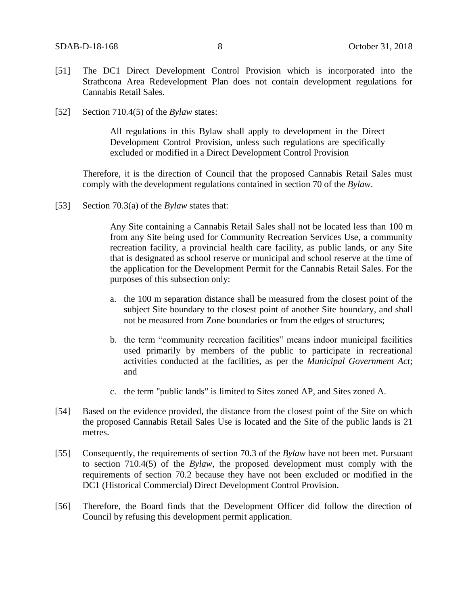- [51] The DC1 Direct Development Control Provision which is incorporated into the Strathcona Area Redevelopment Plan does not contain development regulations for Cannabis Retail Sales.
- [52] Section 710.4(5) of the *Bylaw* states:

All regulations in this Bylaw shall apply to development in the Direct Development Control Provision, unless such regulations are specifically excluded or modified in a Direct Development Control Provision

Therefore, it is the direction of Council that the proposed Cannabis Retail Sales must comply with the development regulations contained in section 70 of the *Bylaw*.

[53] Section 70.3(a) of the *Bylaw* states that:

Any Site containing a Cannabis Retail Sales shall not be located less than 100 m from any Site being used for Community Recreation Services Use, a community recreation facility, a provincial health care facility, as public lands, or any Site that is designated as school reserve or municipal and school reserve at the time of the application for the Development Permit for the Cannabis Retail Sales. For the purposes of this subsection only:

- a. the 100 m separation distance shall be measured from the closest point of the subject Site boundary to the closest point of another Site boundary, and shall not be measured from Zone boundaries or from the edges of structures;
- b. the term "community recreation facilities" means indoor municipal facilities used primarily by members of the public to participate in recreational activities conducted at the facilities, as per the *Municipal Government Act*; and
- c. the term "public lands" is limited to Sites zoned AP, and Sites zoned A.
- [54] Based on the evidence provided, the distance from the closest point of the Site on which the proposed Cannabis Retail Sales Use is located and the Site of the public lands is 21 metres.
- [55] Consequently, the requirements of section 70.3 of the *Bylaw* have not been met. Pursuant to section 710.4(5) of the *Bylaw*, the proposed development must comply with the requirements of section 70.2 because they have not been excluded or modified in the DC1 (Historical Commercial) Direct Development Control Provision.
- [56] Therefore, the Board finds that the Development Officer did follow the direction of Council by refusing this development permit application.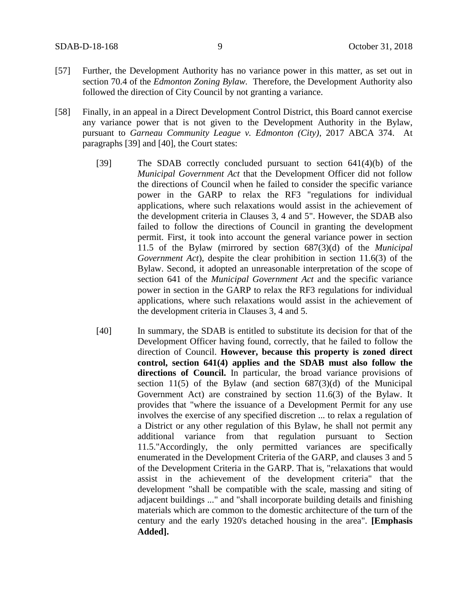- [57] Further, the Development Authority has no variance power in this matter, as set out in section 70.4 of the *Edmonton Zoning Bylaw.* Therefore, the Development Authority also followed the direction of City Council by not granting a variance.
- [58] Finally, in an appeal in a Direct Development Control District, this Board cannot exercise any variance power that is not given to the Development Authority in the Bylaw, pursuant to *Garneau Community League v. Edmonton (City)*, 2017 ABCA 374. At paragraphs [39] and [40], the Court states:
	- [39] The SDAB correctly concluded pursuant to section 641(4)(b) of the *Municipal Government Act* that the Development Officer did not follow the directions of Council when he failed to consider the specific variance power in the GARP to relax the RF3 "regulations for individual applications, where such relaxations would assist in the achievement of the development criteria in Clauses 3, 4 and 5". However, the SDAB also failed to follow the directions of Council in granting the development permit. First, it took into account the general variance power in section 11.5 of the Bylaw (mirrored by section 687(3)(d) of the *Municipal Government Act*), despite the clear prohibition in section 11.6(3) of the Bylaw. Second, it adopted an unreasonable interpretation of the scope of section 641 of the *Municipal Government Act* and the specific variance power in section in the GARP to relax the RF3 regulations for individual applications, where such relaxations would assist in the achievement of the development criteria in Clauses 3, 4 and 5.
	- [40] In summary, the SDAB is entitled to substitute its decision for that of the Development Officer having found, correctly, that he failed to follow the direction of Council. **However, because this property is zoned direct control, section 641(4) applies and the SDAB must also follow the directions of Council.** In particular, the broad variance provisions of section 11(5) of the Bylaw (and section  $687(3)(d)$  of the Municipal Government Act) are constrained by section 11.6(3) of the Bylaw. It provides that "where the issuance of a Development Permit for any use involves the exercise of any specified discretion ... to relax a regulation of a District or any other regulation of this Bylaw, he shall not permit any additional variance from that regulation pursuant to Section 11.5."Accordingly, the only permitted variances are specifically enumerated in the Development Criteria of the GARP, and clauses 3 and 5 of the Development Criteria in the GARP. That is, "relaxations that would assist in the achievement of the development criteria" that the development "shall be compatible with the scale, massing and siting of adjacent buildings ..." and "shall incorporate building details and finishing materials which are common to the domestic architecture of the turn of the century and the early 1920's detached housing in the area". **[Emphasis Added].**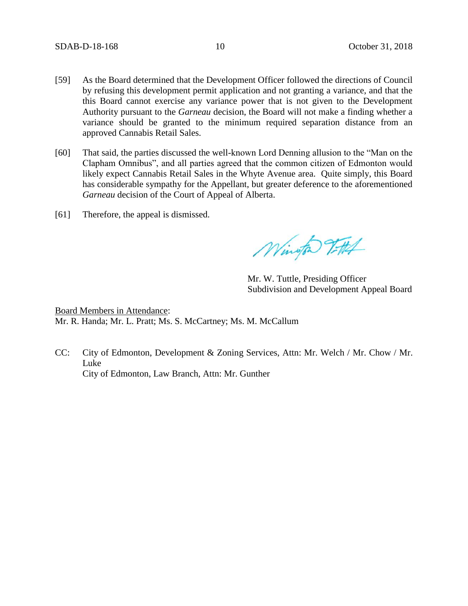- [59] As the Board determined that the Development Officer followed the directions of Council by refusing this development permit application and not granting a variance, and that the this Board cannot exercise any variance power that is not given to the Development Authority pursuant to the *Garneau* decision, the Board will not make a finding whether a variance should be granted to the minimum required separation distance from an approved Cannabis Retail Sales.
- [60] That said, the parties discussed the well-known Lord Denning allusion to the "Man on the Clapham Omnibus", and all parties agreed that the common citizen of Edmonton would likely expect Cannabis Retail Sales in the Whyte Avenue area. Quite simply, this Board has considerable sympathy for the Appellant, but greater deference to the aforementioned *Garneau* decision of the Court of Appeal of Alberta.
- [61] Therefore, the appeal is dismissed.

Wington 9.71

Mr. W. Tuttle, Presiding Officer Subdivision and Development Appeal Board

Board Members in Attendance: Mr. R. Handa; Mr. L. Pratt; Ms. S. McCartney; Ms. M. McCallum

CC: City of Edmonton, Development & Zoning Services, Attn: Mr. Welch / Mr. Chow / Mr. Luke City of Edmonton, Law Branch, Attn: Mr. Gunther